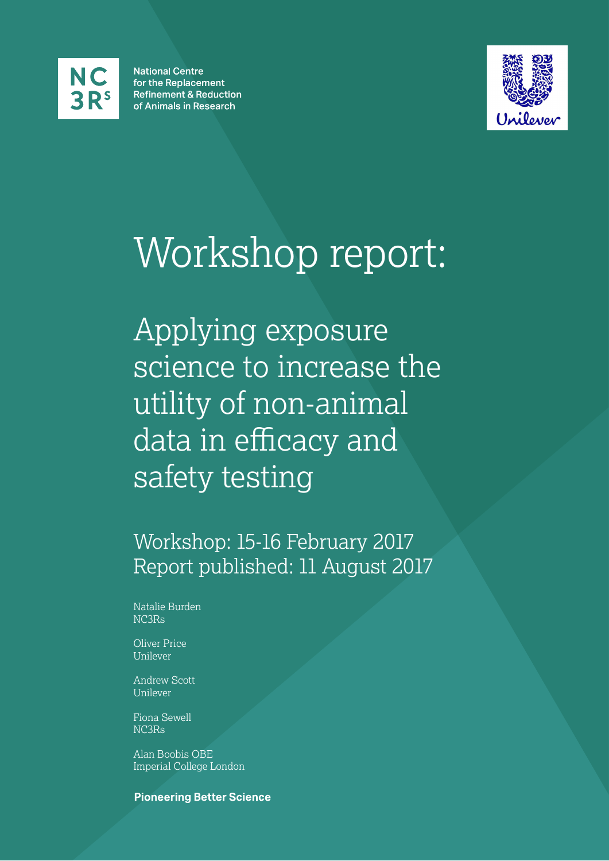

**National Centre** for the Replacement **Refinement & Reduction** of Animals in Research



# Workshop report:

Applying exposure science to increase the utility of non-animal data in efficacy and safety testing

Workshop: 15-16 February 2017 Report published: 11 August 2017

Natalie Burden NC3Rs

Oliver Price Unilever

Andrew Scott Unilever

Fiona Sewell NC3Rs

Alan Boobis OBE Imperial College London

### **Pioneering Better Science**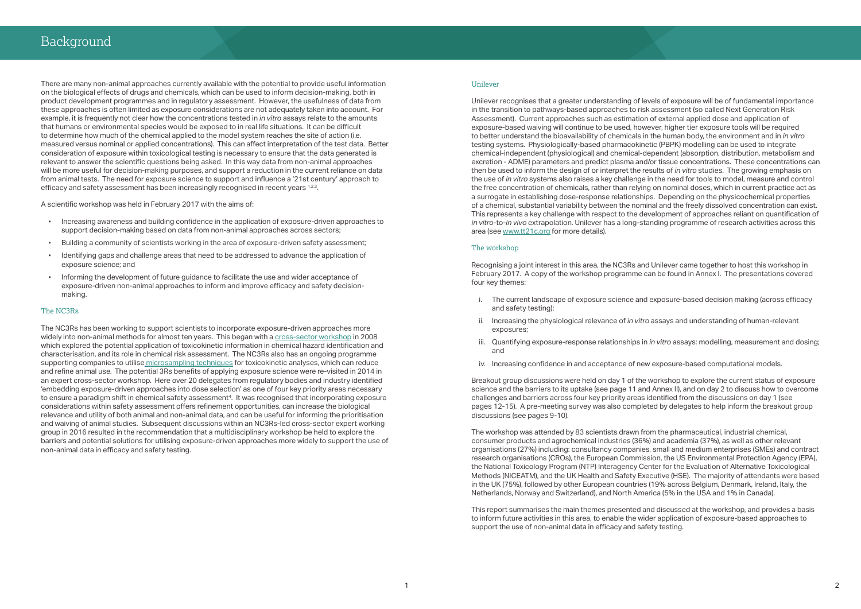There are many non-animal approaches currently available with the potential to provide useful information on the biological effects of drugs and chemicals, which can be used to inform decision-making, both in product development programmes and in regulatory assessment. However, the usefulness of data from these approaches is often limited as exposure considerations are not adequately taken into account. For example, it is frequently not clear how the concentrations tested in *in vitro* assays relate to the amounts that humans or environmental species would be exposed to in real life situations. It can be difficult to determine how much of the chemical applied to the model system reaches the site of action (i.e. measured versus nominal or applied concentrations). This can affect interpretation of the test data. Better consideration of exposure within toxicological testing is necessary to ensure that the data generated is relevant to answer the scientific questions being asked. In this way data from non-animal approaches will be more useful for decision-making purposes, and support a reduction in the current reliance on data from animal tests. The need for exposure science to support and influence a '21st century' approach to efficacy and safety assessment has been increasingly recognised in recent years  $1.23$ .

A scientific workshop was held in February 2017 with the aims of:

- Increasing awareness and building confidence in the application of exposure-driven approaches to support decision-making based on data from non-animal approaches across sectors;
- Building a community of scientists working in the area of exposure-driven safety assessment;
- Identifying gaps and challenge areas that need to be addressed to advance the application of exposure science; and
- Informing the development of future guidance to facilitate the use and wider acceptance of exposure-driven non-animal approaches to inform and improve efficacy and safety decisionmaking.

Unilever recognises that a greater understanding of levels of exposure will be of fundamental importance in the transition to pathways-based approaches to risk assessment (so called Next Generation Risk Assessment). Current approaches such as estimation of external applied dose and application of exposure-based waiving will continue to be used, however, higher tier exposure tools will be required to better understand the bioavailability of chemicals in the human body, the environment and in *in vitro* testing systems. Physiologically-based pharmacokinetic (PBPK) modelling can be used to integrate chemical-independent (physiological) and chemical-dependent (absorption, distribution, metabolism and excretion - ADME) parameters and predict plasma and/or tissue concentrations. These concentrations can then be used to inform the design of or interpret the results of *in vitro* studies. The growing emphasis on the use of *in vitro* systems also raises a key challenge in the need for tools to model, measure and control the free concentration of chemicals, rather than relying on nominal doses, which in current practice act as a surrogate in establishing dose-response relationships. Depending on the physicochemical properties of a chemical, substantial variability between the nominal and the freely dissolved concentration can exist. This represents a key challenge with respect to the development of approaches reliant on quantification of *in vitro*-to-*in vivo* extrapolation. Unilever has a long-standing programme of research activities across this area (see [www.tt21c.org](http://www.tt21c.org/) for more details).

#### The NC3Rs

The NC3Rs has been working to support scientists to incorporate exposure-driven approaches more widely into non-animal methods for almost ten years. This began with a [cross-sector workshop](https://www.nc3rs.org.uk/microsampling) in 2008 which explored the potential application of toxicokinetic information in chemical hazard identification and characterisation, and its role in chemical risk assessment. The NC3Rs also has an ongoing programme supporting companies to utilise [microsampling techniques](https://www.nc3rs.org.uk/microsampling) for toxicokinetic analyses, which can reduce and refine animal use. The potential 3Rs benefits of applying exposure science were re-visited in 2014 in an expert cross-sector workshop. Here over 20 delegates from regulatory bodies and industry identified 'embedding exposure-driven approaches into dose selection' as one of four key priority areas necessary to ensure a paradigm shift in chemical safety assessment<sup>4</sup>. It was recognised that incorporating exposure considerations within safety assessment offers refinement opportunities, can increase the biological relevance and utility of both animal and non-animal data, and can be useful for informing the prioritisation and waiving of animal studies. Subsequent discussions within an NC3Rs-led cross-sector expert working group in 2016 resulted in the recommendation that a multidisciplinary workshop be held to explore the barriers and potential solutions for utilising exposure-driven approaches more widely to support the use of non-animal data in efficacy and safety testing.

#### Unilever

#### The workshop

Recognising a joint interest in this area, the NC3Rs and Unilever came together to host this workshop in February 2017. A copy of the workshop programme can be found in Annex I. The presentations covered four key themes:

- i. The current landscape of exposure science and exposure-based decision making (across efficacy and safety testing);
- ii. Increasing the physiological relevance of *in vitro* assays and understanding of human-relevant exposures;
- iii. Quantifying exposure-response relationships in *in vitro* assays: modelling, measurement and dosing; and
- iv. Increasing confidence in and acceptance of new exposure-based computational models.

Breakout group discussions were held on day 1 of the workshop to explore the current status of exposure science and the barriers to its uptake (see page 11 and Annex II), and on day 2 to discuss how to overcome challenges and barriers across four key priority areas identified from the discussions on day 1 (see pages 12-15). A pre-meeting survey was also completed by delegates to help inform the breakout group discussions (see pages 9-10).

The workshop was attended by 83 scientists drawn from the pharmaceutical, industrial chemical, consumer products and agrochemical industries (36%) and academia (37%), as well as other relevant organisations (27%) including: consultancy companies, small and medium enterprises (SMEs) and contract research organisations (CROs), the European Commission, the US Environmental Protection Agency (EPA), the National Toxicology Program (NTP) Interagency Center for the Evaluation of Alternative Toxicological Methods (NICEATM), and the UK Health and Safety Executive (HSE). The majority of attendants were based in the UK (75%), followed by other European countries (19% across Belgium, Denmark, Ireland, Italy, the Netherlands, Norway and Switzerland), and North America (5% in the USA and 1% in Canada).

This report summarises the main themes presented and discussed at the workshop, and provides a basis to inform future activities in this area, to enable the wider application of exposure-based approaches to support the use of non-animal data in efficacy and safety testing.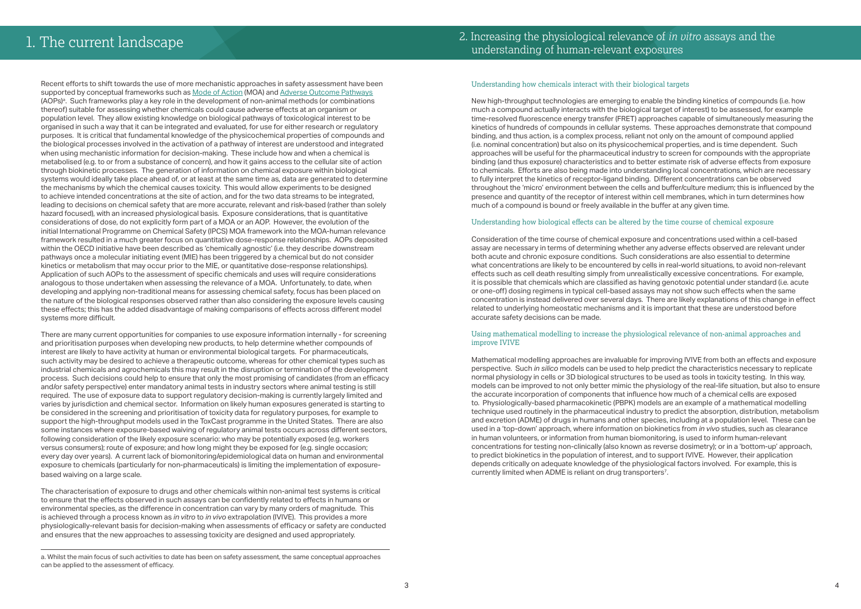Recent efforts to shift towards the use of more mechanistic approaches in safety assessment have been supported by conceptual frameworks such as [Mode of Action](http://www.who.int/ipcs/methods/harmonization/areas/cancer/en/) (MOA) and [Adverse Outcome Pathways](http://www.oecd.org/chemicalsafety/testing/adverse-outcome-pathways-molecular-screening-and-toxicogenomics.htm) (AOPs)<sup>a</sup>. Such frameworks play a key role in the development of non-animal methods (or combinations thereof) suitable for assessing whether chemicals could cause adverse effects at an organism or population level. They allow existing knowledge on biological pathways of toxicological interest to be organised in such a way that it can be integrated and evaluated, for use for either research or regulatory purposes. It is critical that fundamental knowledge of the physicochemical properties of compounds and the biological processes involved in the activation of a pathway of interest are understood and integrated when using mechanistic information for decision-making. These include how and when a chemical is metabolised (e.g. to or from a substance of concern), and how it gains access to the cellular site of action through biokinetic processes. The generation of information on chemical exposure within biological systems would ideally take place ahead of, or at least at the same time as, data are generated to determine the mechanisms by which the chemical causes toxicity. This would allow experiments to be designed to achieve intended concentrations at the site of action, and for the two data streams to be integrated, leading to decisions on chemical safety that are more accurate, relevant and risk-based (rather than solely hazard focused), with an increased physiological basis. Exposure considerations, that is quantitative considerations of dose, do not explicitly form part of a MOA or an AOP. However, the evolution of the initial International Programme on Chemical Safety (IPCS) MOA framework into the MOA-human relevance framework resulted in a much greater focus on quantitative dose-response relationships. AOPs deposited within the OECD initiative have been described as 'chemically agnostic' (i.e. they describe downstream pathways once a molecular initiating event (MIE) has been triggered by a chemical but do not consider kinetics or metabolism that may occur prior to the MIE, or quantitative dose-response relationships). Application of such AOPs to the assessment of specific chemicals and uses will require considerations analogous to those undertaken when assessing the relevance of a MOA. Unfortunately, to date, when developing and applying non-traditional means for assessing chemical safety, focus has been placed on the nature of the biological responses observed rather than also considering the exposure levels causing these effects; this has the added disadvantage of making comparisons of effects across different model systems more difficult.

There are many current opportunities for companies to use exposure information internally - for screening and prioritisation purposes when developing new products, to help determine whether compounds of interest are likely to have activity at human or environmental biological targets. For pharmaceuticals, such activity may be desired to achieve a therapeutic outcome, whereas for other chemical types such as industrial chemicals and agrochemicals this may result in the disruption or termination of the development process. Such decisions could help to ensure that only the most promising of candidates (from an efficacy and/or safety perspective) enter mandatory animal tests in industry sectors where animal testing is still required. The use of exposure data to support regulatory decision-making is currently largely limited and varies by jurisdiction and chemical sector. Information on likely human exposures generated is starting to be considered in the screening and prioritisation of toxicity data for regulatory purposes, for example to support the high-throughput models used in the ToxCast programme in the United States. There are also some instances where exposure-based waiving of regulatory animal tests occurs across different sectors, following consideration of the likely exposure scenario: who may be potentially exposed (e.g. workers versus consumers); route of exposure; and how long might they be exposed for (e.g. single occasion; every day over years). A current lack of biomonitoring/epidemiological data on human and environmental exposure to chemicals (particularly for non-pharmaceuticals) is limiting the implementation of exposurebased waiving on a large scale.

Mathematical modelling approaches are invaluable for improving IVIVE from both an effects and exposure perspective. Such *in silico* models can be used to help predict the characteristics necessary to replicate normal physiology in cells or 3D biological structures to be used as tools in toxicity testing. In this way, models can be improved to not only better mimic the physiology of the real-life situation, but also to ensure the accurate incorporation of components that influence how much of a chemical cells are exposed to. Physiologically-based pharmacokinetic (PBPK) models are an example of a mathematical modelling technique used routinely in the pharmaceutical industry to predict the absorption, distribution, metabolism and excretion (ADME) of drugs in humans and other species, including at a population level. These can be used in a 'top-down' approach, where information on biokinetics from *in vivo* studies, such as clearance in human volunteers, or information from human biomonitoring, is used to inform human-relevant concentrations for testing non-clinically (also known as reverse dosimetry); or in a 'bottom-up' approach, to predict biokinetics in the population of interest, and to support IVIVE. However, their application depends critically on adequate knowledge of the physiological factors involved. For example, this is currently limited when ADME is reliant on drug transporters<sup>7</sup>.

The characterisation of exposure to drugs and other chemicals within non-animal test systems is critical to ensure that the effects observed in such assays can be confidently related to effects in humans or environmental species, as the difference in concentration can vary by many orders of magnitude. This is achieved through a process known as *in vitro* to *in vivo* extrapolation (IVIVE). This provides a more physiologically-relevant basis for decision-making when assessments of efficacy or safety are conducted and ensures that the new approaches to assessing toxicity are designed and used appropriately.

### Understanding how chemicals interact with their biological targets

New high-throughput technologies are emerging to enable the binding kinetics of compounds (i.e. how much a compound actually interacts with the biological target of interest) to be assessed, for example time-resolved fluorescence energy transfer (FRET) approaches capable of simultaneously measuring the kinetics of hundreds of compounds in cellular systems. These approaches demonstrate that compound binding, and thus action, is a complex process, reliant not only on the amount of compound applied (i.e. nominal concentration) but also on its physicochemical properties, and is time dependent. Such approaches will be useful for the pharmaceutical industry to screen for compounds with the appropriate binding (and thus exposure) characteristics and to better estimate risk of adverse effects from exposure to chemicals. Efforts are also being made into understanding local concentrations, which are necessary to fully interpret the kinetics of receptor-ligand binding. Different concentrations can be observed throughout the 'micro' environment between the cells and buffer/culture medium; this is influenced by the presence and quantity of the receptor of interest within cell membranes, which in turn determines how much of a compound is bound or freely available in the buffer at any given time.

### Understanding how biological effects can be altered by the time course of chemical exposure

Consideration of the time course of chemical exposure and concentrations used within a cell-based assay are necessary in terms of determining whether any adverse effects observed are relevant under both acute and chronic exposure conditions. Such considerations are also essential to determine what concentrations are likely to be encountered by cells in real-world situations, to avoid non-relevant effects such as cell death resulting simply from unrealistically excessive concentrations. For example, it is possible that chemicals which are classified as having genotoxic potential under standard (i.e. acute or one-off) dosing regimens in typical cell-based assays may not show such effects when the same concentration is instead delivered over several days. There are likely explanations of this change in effect related to underlying homeostatic mechanisms and it is important that these are understood before accurate safety decisions can be made.

#### Using mathematical modelling to increase the physiological relevance of non-animal approaches and improve IVIVE

### 2. Increasing the physiological relevance of *in vitro* assays and the 1. The current landscape and the physiological relevance of *in u*<br>understanding of human-relevant exposures

a. Whilst the main focus of such activities to date has been on safety assessment, the same conceptual approaches can be applied to the assessment of efficacy.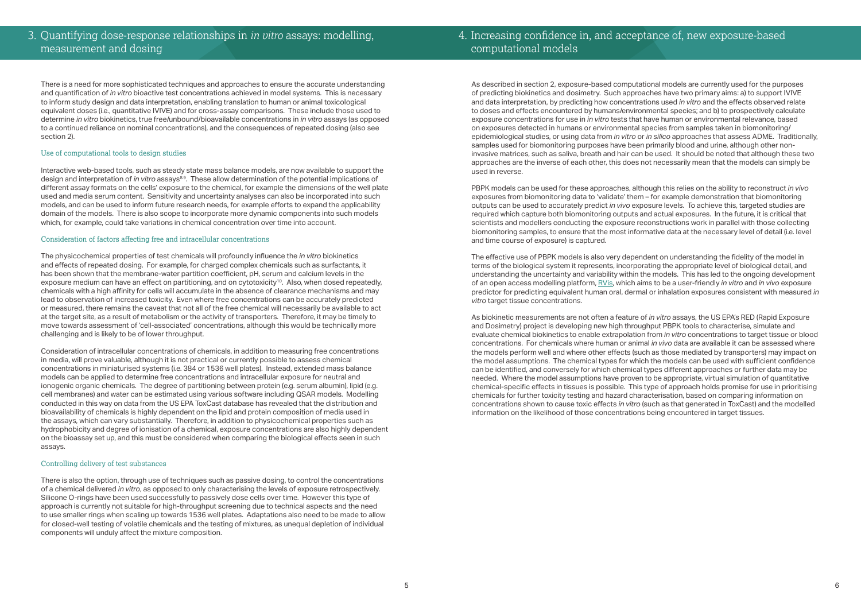### 4. Increasing confidence in, and acceptance of, new exposure-based computational models

There is a need for more sophisticated techniques and approaches to ensure the accurate understanding and quantification of *in vitro* bioactive test concentrations achieved in model systems. This is necessary to inform study design and data interpretation, enabling translation to human or animal toxicological equivalent doses (i.e., quantitative IVIVE) and for cross-assay comparisons. These include those used to determine *in vitro* biokinetics, true free/unbound/bioavailable concentrations in *in vitro* assays (as opposed to a continued reliance on nominal concentrations), and the consequences of repeated dosing (also see section 2).

#### Use of computational tools to design studies

Interactive web-based tools, such as steady state mass balance models, are now available to support the design and interpretation of *in vitro* assays<sup>8.9</sup>. These allow determination of the potential implications of different assay formats on the cells' exposure to the chemical, for example the dimensions of the well plate used and media serum content. Sensitivity and uncertainty analyses can also be incorporated into such models, and can be used to inform future research needs, for example efforts to expand the applicability domain of the models. There is also scope to incorporate more dynamic components into such models which, for example, could take variations in chemical concentration over time into account.

#### Consideration of factors affecting free and intracellular concentrations

The physicochemical properties of test chemicals will profoundly influence the *in vitro* biokinetics and effects of repeated dosing. For example, for charged complex chemicals such as surfactants, it has been shown that the membrane-water partition coefficient, pH, serum and calcium levels in the exposure medium can have an effect on partitioning, and on cytotoxicity10. Also, when dosed repeatedly, chemicals with a high affinity for cells will accumulate in the absence of clearance mechanisms and may lead to observation of increased toxicity. Even where free concentrations can be accurately predicted or measured, there remains the caveat that not all of the free chemical will necessarily be available to act at the target site, as a result of metabolism or the activity of transporters. Therefore, it may be timely to move towards assessment of 'cell-associated' concentrations, although this would be technically more challenging and is likely to be of lower throughput.

Consideration of intracellular concentrations of chemicals, in addition to measuring free concentrations in media, will prove valuable, although it is not practical or currently possible to assess chemical concentrations in miniaturised systems (i.e. 384 or 1536 well plates). Instead, extended mass balance models can be applied to determine free concentrations and intracellular exposure for neutral and ionogenic organic chemicals. The degree of partitioning between protein (e.g. serum albumin), lipid (e.g. cell membranes) and water can be estimated using various software including QSAR models. Modelling conducted in this way on data from the US EPA ToxCast database has revealed that the distribution and bioavailability of chemicals is highly dependent on the lipid and protein composition of media used in the assays, which can vary substantially. Therefore, in addition to physicochemical properties such as hydrophobicity and degree of ionisation of a chemical, exposure concentrations are also highly dependent on the bioassay set up, and this must be considered when comparing the biological effects seen in such assays.

#### Controlling delivery of test substances

There is also the option, through use of techniques such as passive dosing, to control the concentrations of a chemical delivered *in vitro*, as opposed to only characterising the levels of exposure retrospectively. Silicone O-rings have been used successfully to passively dose cells over time. However this type of approach is currently not suitable for high-throughput screening due to technical aspects and the need to use smaller rings when scaling up towards 1536 well plates. Adaptations also need to be made to allow for closed-well testing of volatile chemicals and the testing of mixtures, as unequal depletion of individual components will unduly affect the mixture composition.

As described in section 2, exposure-based computational models are currently used for the purposes of predicting biokinetics and dosimetry. Such approaches have two primary aims: a) to support IVIVE and data interpretation, by predicting how concentrations used *in vitro* and the effects observed relate to doses and effects encountered by humans/environmental species; and b) to prospectively calculate exposure concentrations for use in *in vitro* tests that have human or environmental relevance, based on exposures detected in humans or environmental species from samples taken in biomonitoring/ epidemiological studies, or using data from *in vitro* or *in silico* approaches that assess ADME. Traditionally, samples used for biomonitoring purposes have been primarily blood and urine, although other noninvasive matrices, such as saliva, breath and hair can be used. It should be noted that although these two approaches are the inverse of each other, this does not necessarily mean that the models can simply be used in reverse.

PBPK models can be used for these approaches, although this relies on the ability to reconstruct *in vivo* exposures from biomonitoring data to 'validate' them – for example demonstration that biomonitoring outputs can be used to accurately predict *in vivo* exposure levels. To achieve this, targeted studies are required which capture both biomonitoring outputs and actual exposures. In the future, it is critical that scientists and modellers conducting the exposure reconstructions work in parallel with those collecting biomonitoring samples, to ensure that the most informative data at the necessary level of detail (i.e. level and time course of exposure) is captured.

The effective use of PBPK models is also very dependent on understanding the fidelity of the model in terms of the biological system it represents, incorporating the appropriate level of biological detail, and understanding the uncertainty and variability within the models. This has led to the ongoing development of an open access modelling platform, [RVis](http://cefic-lri.org/projects/aimt7-rvis-open-access-pbpk-modelling-platform/), which aims to be a user-friendly *in vitro* and *in vivo* exposure predictor for predicting equivalent human oral, dermal or inhalation exposures consistent with measured *in vitro* target tissue concentrations.

As biokinetic measurements are not often a feature of *in vitro* assays, the US EPA's RED (Rapid Exposure and Dosimetry) project is developing new high throughput PBPK tools to characterise, simulate and evaluate chemical biokinetics to enable extrapolation from *in vitro* concentrations to target tissue or blood concentrations. For chemicals where human or animal *in vivo* data are available it can be assessed where the models perform well and where other effects (such as those mediated by transporters) may impact on the model assumptions. The chemical types for which the models can be used with sufficient confidence can be identified, and conversely for which chemical types different approaches or further data may be needed. Where the model assumptions have proven to be appropriate, virtual simulation of quantitative chemical-specific effects in tissues is possible. This type of approach holds promise for use in prioritising chemicals for further toxicity testing and hazard characterisation, based on comparing information on concentrations shown to cause toxic effects *in vitro* (such as that generated in ToxCast) and the modelled information on the likelihood of those concentrations being encountered in target tissues.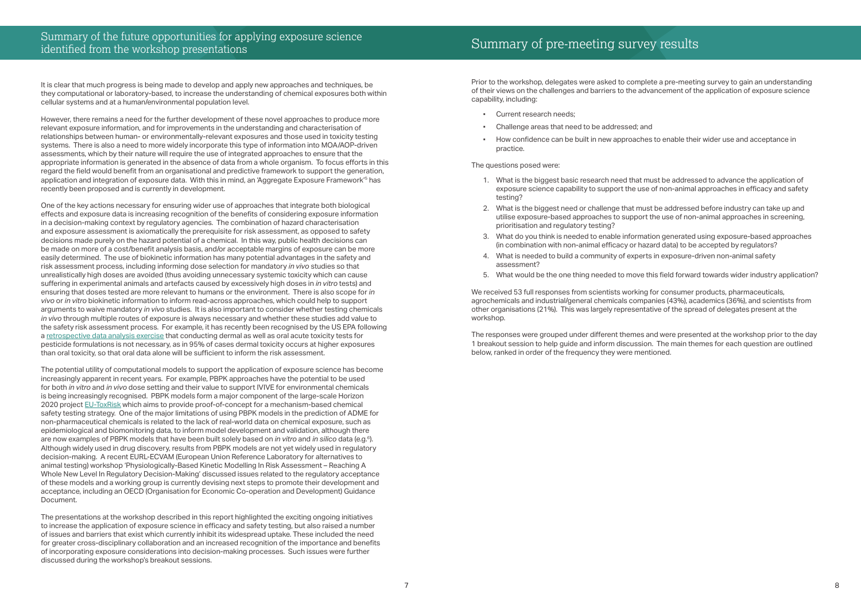### Summary of the future opportunities for applying exposure science identified from the workshop presentations<br>identified from the workshop presentations

It is clear that much progress is being made to develop and apply new approaches and techniques, be they computational or laboratory-based, to increase the understanding of chemical exposures both within cellular systems and at a human/environmental population level.

However, there remains a need for the further development of these novel approaches to produce more relevant exposure information, and for improvements in the understanding and characterisation of relationships between human- or environmentally-relevant exposures and those used in toxicity testing systems. There is also a need to more widely incorporate this type of information into MOA/AOP-driven assessments, which by their nature will require the use of integrated approaches to ensure that the appropriate information is generated in the absence of data from a whole organism. To focus efforts in this regard the field would benefit from an organisational and predictive framework to support the generation, application and integration of exposure data. With this in mind, an 'Aggregate Exposure Framework'5 has recently been proposed and is currently in development.

One of the key actions necessary for ensuring wider use of approaches that integrate both biological effects and exposure data is increasing recognition of the benefits of considering exposure information in a decision-making context by regulatory agencies. The combination of hazard characterisation and exposure assessment is axiomatically the prerequisite for risk assessment, as opposed to safety decisions made purely on the hazard potential of a chemical. In this way, public health decisions can be made on more of a cost/benefit analysis basis, and/or acceptable margins of exposure can be more easily determined. The use of biokinetic information has many potential advantages in the safety and risk assessment process, including informing dose selection for mandatory *in vivo* studies so that unrealistically high doses are avoided (thus avoiding unnecessary systemic toxicity which can cause suffering in experimental animals and artefacts caused by excessively high doses in *in vitro* tests) and ensuring that doses tested are more relevant to humans or the environment. There is also scope for *in vivo* or *in vitro* biokinetic information to inform read-across approaches, which could help to support arguments to waive mandatory *in vivo* studies. It is also important to consider whether testing chemicals *in vivo* through multiple routes of exposure is always necessary and whether these studies add value to the safety risk assessment process. For example, it has recently been recognised by the US EPA following a [retrospective data analysis exercise](https://www.epa.gov/sites/production/files/2016-11/documents/acute-dermal-toxicity-pesticide-formulations_0.pdf) that conducting dermal as well as oral acute toxicity tests for pesticide formulations is not necessary, as in 95% of cases dermal toxicity occurs at higher exposures than oral toxicity, so that oral data alone will be sufficient to inform the risk assessment.

- Current research needs;
- Challenge areas that need to be addressed; and
- practice.

We received 53 full responses from scientists working for consumer products, pharmaceuticals, agrochemicals and industrial/general chemicals companies (43%), academics (36%), and scientists from other organisations (21%). This was largely representative of the spread of delegates present at the workshop.

The potential utility of computational models to support the application of exposure science has become increasingly apparent in recent years. For example, PBPK approaches have the potential to be used for both *in vitro* and *in vivo* dose setting and their value to support IVIVE for environmental chemicals is being increasingly recognised. PBPK models form a major component of the large-scale Horizon 2020 project [EU-ToxRisk](http://www.eu-toxrisk.eu/) which aims to provide proof-of-concept for a mechanism-based chemical safety testing strategy. One of the major limitations of using PBPK models in the prediction of ADME for non-pharmaceutical chemicals is related to the lack of real-world data on chemical exposure, such as epidemiological and biomonitoring data, to inform model development and validation, although there are now examples of PBPK models that have been built solely based on *in vitro* and *in silico* data (e.g.6). Although widely used in drug discovery, results from PBPK models are not yet widely used in regulatory decision-making. A recent EURL-ECVAM (European Union Reference Laboratory for alternatives to animal testing) workshop 'Physiologically-Based Kinetic Modelling In Risk Assessment – Reaching A Whole New Level In Regulatory Decision-Making' discussed issues related to the regulatory acceptance of these models and a working group is currently devising next steps to promote their development and acceptance, including an OECD (Organisation for Economic Co-operation and Development) Guidance Document.

The presentations at the workshop described in this report highlighted the exciting ongoing initiatives to increase the application of exposure science in efficacy and safety testing, but also raised a number of issues and barriers that exist which currently inhibit its widespread uptake. These included the need for greater cross-disciplinary collaboration and an increased recognition of the importance and benefits of incorporating exposure considerations into decision-making processes. Such issues were further discussed during the workshop's breakout sessions.

Prior to the workshop, delegates were asked to complete a pre-meeting survey to gain an understanding of their views on the challenges and barriers to the advancement of the application of exposure science capability, including:

#### The questions posed were:

exposure science capability to support the use of non-animal approaches in efficacy and safety

- 1. What is the biggest basic research need that must be addressed to advance the application of testing?
- 2. What is the biggest need or challenge that must be addressed before industry can take up and utilise exposure-based approaches to support the use of non-animal approaches in screening, prioritisation and regulatory testing?
- (in combination with non-animal efficacy or hazard data) to be accepted by regulators?
- 4. What is needed to build a community of experts in exposure-driven non-animal safety assessment?
- 

3. What do you think is needed to enable information generated using exposure-based approaches

5. What would be the one thing needed to move this field forward towards wider industry application?

The responses were grouped under different themes and were presented at the workshop prior to the day 1 breakout session to help guide and inform discussion. The main themes for each question are outlined below, ranked in order of the frequency they were mentioned.

How confidence can be built in new approaches to enable their wider use and acceptance in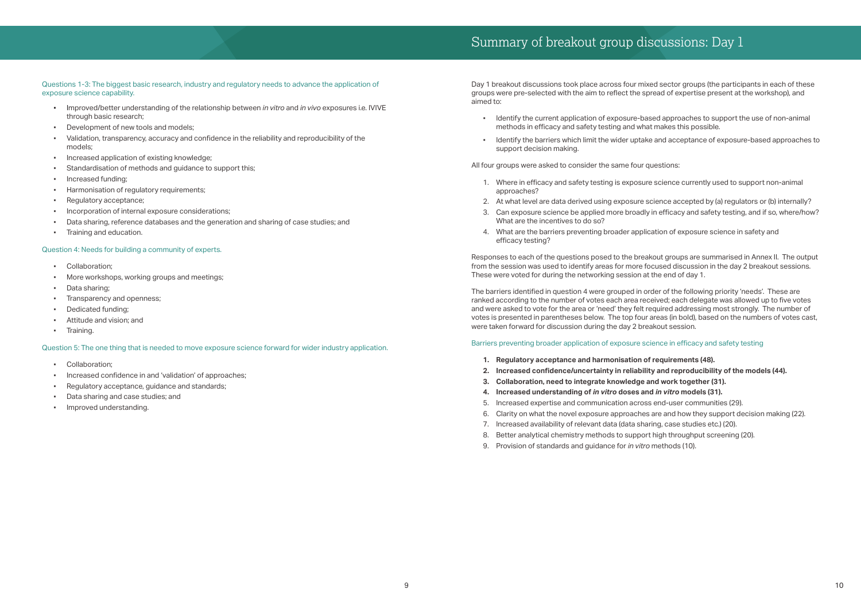## Summary of breakout group discussions: Day 1

- Improved/better understanding of the relationship between *in vitro* and *in vivo* exposures i.e. IVIVE through basic research;
- Development of new tools and models;
- Validation, transparency, accuracy and confidence in the reliability and reproducibility of the models;
- Increased application of existing knowledge;
- Standardisation of methods and guidance to support this:
- Increased funding;
- Harmonisation of regulatory requirements;
- Regulatory acceptance;
- Incorporation of internal exposure considerations:
- Data sharing, reference databases and the generation and sharing of case studies; and
- Training and education.

Questions 1-3: The biggest basic research, industry and regulatory needs to advance the application of exposure science capability.

### Question 4: Needs for building a community of experts.

- Collaboration:
- More workshops, working groups and meetings;
- Data sharing;
- Transparency and openness;
- Dedicated funding;
- Attitude and vision; and
- Training.

Question 5: The one thing that is needed to move exposure science forward for wider industry application.

- Collaboration:
- Increased confidence in and 'validation' of approaches;
- Regulatory acceptance, guidance and standards;
- Data sharing and case studies; and
- Improved understanding.

Day 1 breakout discussions took place across four mixed sector groups (the participants in each of these groups were pre-selected with the aim to reflect the spread of expertise present at the workshop), and aimed to:

- Identify the current application of exposure-based approaches to support the use of non-animal methods in efficacy and safety testing and what makes this possible.
- support decision making.

All four groups were asked to consider the same four questions:

- 1. Where in efficacy and safety testing is exposure science currently used to support non-animal approaches?
- 2. At what level are data derived using exposure science accepted by (a) regulators or (b) internally?
- What are the incentives to do so?
- 4. What are the barriers preventing broader application of exposure science in safety and efficacy testing?

3. Can exposure science be applied more broadly in efficacy and safety testing, and if so, where/how?

Responses to each of the questions posed to the breakout groups are summarised in Annex II. The output from the session was used to identify areas for more focused discussion in the day 2 breakout sessions. These were voted for during the networking session at the end of day 1.

The barriers identified in question 4 were grouped in order of the following priority 'needs'. These are ranked according to the number of votes each area received; each delegate was allowed up to five votes and were asked to vote for the area or 'need' they felt required addressing most strongly. The number of votes is presented in parentheses below. The top four areas (in bold), based on the numbers of votes cast, were taken forward for discussion during the day 2 breakout session.

#### Barriers preventing broader application of exposure science in efficacy and safety testing

- **1. Regulatory acceptance and harmonisation of requirements (48).**
- **2. Increased confidence/uncertainty in reliability and reproducibility of the models (44).**
- **3. Collaboration, need to integrate knowledge and work together (31).**
- **4. Increased understanding of** *in vitro* **doses and** *in vitro* **models (31).**
- 5. Increased expertise and communication across end-user communities (29).
- 
- 7. Increased availability of relevant data (data sharing, case studies etc.) (20).
- 8. Better analytical chemistry methods to support high throughput screening (20).
- 9. Provision of standards and guidance for *in vitro* methods (10).

Identify the barriers which limit the wider uptake and acceptance of exposure-based approaches to

6. Clarity on what the novel exposure approaches are and how they support decision making (22).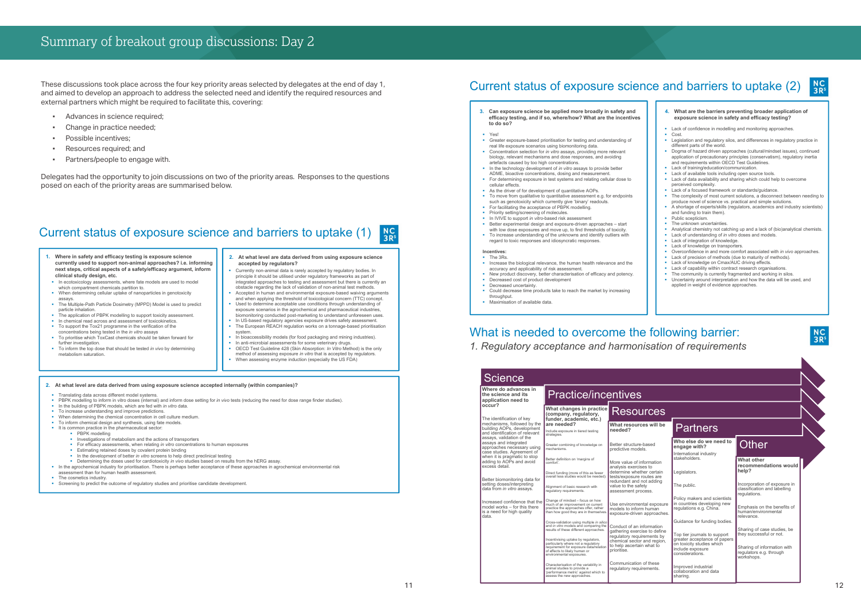## Summary of breakout group discussions: Day 2

These discussions took place across the four key priority areas selected by delegates at the end of day 1, and aimed to develop an approach to address the selected need and identify the required resources and external partners which might be required to facilitate this, covering:

- **•** Advances in science required;
- Change in practice needed;
- Possible incentives;
- Resources required; and
- Partners/people to engage with.

Delegates had the opportunity to join discussions on two of the priority areas. Responses to the questions posed on each of the priority areas are summarised below.

- Currently non-animal data is rarely accepted by regulatory bodies. In principle it should be utilised under regulatory frameworks as part of integrated approaches to testing and assessment but there is currently an obstacle regarding the lack of validation of non-animal test methods.
- and when applying the threshold of toxicological concern (TTC) concept.
- exposure scenarios in the agrochemical and pharmaceutical industries, biomonitoring conducted post-marketing to understand unforeseen uses.
- In US-based regulatory agencies exposure drives safety assessment. • The European REACH regulation works on a tonnage-based prioritisation system.
- OECD Test Guideline 428 (Skin Absorption: *In Vitro* Method) is the only
- When assessing enzyme induction (especially the US FDA)
- In bioaccessibility models (for food packaging and mining industries). In anti-microbial assessments for some veterinary drugs. method of assessing exposure *in vitro* that is accepted by regulators.
	-
- Accepted in human and environmental exposure-based waiving arguments Used to determine acceptable use conditions through understanding of



#### Current status of exposure science and barriers to uptake (1)  $N$ C<br>3R<sup>s</sup>

- Translating data across different model systems.
- PBPK modelling to inform in vitro doses (internal) and inform dose setting for *in vivo* tests (reducing the need for dose range finder studies).
- In the building of PBPK models, which are fed with *in vitro* data.
- To increase understanding and improve predictions.
- When determining the chemical concentration in cell culture medium
- To inform chemical design and synthesis, using fate models It is common practice in the pharmaceutical sector:
	- **PRPK** modelling
	- Investigations of metabolism and the actions of transporters
	- For efficacy assessments, when relating *in vitro* concentrations to human exposures
	- **Estimating retained doses by covalent protein binding**
	- **In the development of better** *in vitro* screens to help direct preclinical testing Determining the doses used for cardiotoxicity *in vivo* studies based on results from the hERG assay.
	-
- In the agrochemical industry for prioritisation. There is perhaps better acceptance of these approaches in agrochemical environmental risk assessment than for human health assessment
- The cosmetics industry
- Screening to predict the outcome of regulatory studies and prioritise candidate development.
- **1. Where in safety and efficacy testing is exposure science currently used to support non-animal approaches? i.e. informing next steps, critical aspects of a safety/efficacy argument, inform clinical study design, etc.**
- In ecotoxicology assessments, where fate models are used to model which compartment chemicals partition to.
- When determining cellular uptake of nanoparticles in genotoxicity assays.
- The Multiple-Path Particle Dosimetry (MPPD) Model is used to predict particle inhalation.
- The application of PBPK modelling to support toxicity assessment.
- In chemical read across and assessment of toxicokinetics.
- To support the Tox21 programme in the verification of the concentrations being tested in the *in vitro* assays
- To prioritise which ToxCast chemicals should be taken forward for further investigation.
- To inform the top dose that should be tested *in vivo* by determining metabolism saturation.

#### **2. At what level are data derived from using exposure science accepted internally (within companies)?**

#### **2. At what level are data derived from using exposure science accepted by regulators?**

#### **res Will be** ed **Partners Who else do we need to engage with?**

Top tier journals to support greater acceptance of papers on toxicity studies which nclude exposure colate *expose*<br>onsiderations.

mproved industrial collaboration and data sharing.

### **Other**

Incorporation of exposure in ricorporation of exposure in equiations.

mphasis on the benefits of uman/environmental **levance** 

Sharing of case studies, be hey successful or not.

aring of information with regulators e.g. through workshops.

## Current status of exposure science and barriers to uptake (2)

- **4. What are the barriers preventing broader application of exposure science in safety and efficacy testing?**
- **Lack of confidence in modelling and monitoring approaches.**
- Cost.
- **E** Legislation and regulatory silos, and differences in regulatory practice in different parts of the world.
- **•** Dogma of hazard driven approaches (cultural/mindset issues), continued application of precautionary principles (conservatism), regulatory inertia and requirements within OECD Test Guidelines. **Lack of training/education/communication**
- Lack of available tools including open source tools.
- **Lack of data availability and sharing which could help to overcome** perceived complexity.
- **Lack of a focused framework or standards/guidance.**
- The complexity of most current solutions, a disconnect between needing to produce novel of science vs. practical and simple solutions.
- A shortage of experts/skills (regulators, academics and industry scientists) and funding to train them).
- Public scepticism.
- The unknown uncertainties.
- Analytical chemistry not catching up and a lack of (bio)analytical chemists.
- Lack of understanding of *in vitro* doses and models.
- **Lack of integration of knowledge.**
- **Lack of knowledge on transporters**
- Overconfidence in and more comfort associated with *in vivo* approaches.
- Lack of precision of methods (due to maturity of methods).
- **Example 2** Lack of knowledge on Cmax/AUC driving effects.
- Lack of capability within contract research organisations
- The community is currently fragmented and working in silos. **Uncertainty around interpretation and how the data will be used, and** applied in weight of evidence approaches.



- **3. Can exposure science be applied more broadly in safety and efficacy testing, and if so, where/how? What are the incentives to do so?**
- Yes!
- Greater exposure-based prioritisation for testing and understanding of real life exposure scenarios using biomonitoring data.
- **Concentration selection for** *in vitro* assays, providing more relevant biology, relevant mechanisms and dose responses, and avoiding artefacts caused by too high concentrations.
- **In the technology development of** *in vitro* **assays to provide better** ADME, bioactive concentrations, dosing and measurement.
- For determining exposure in test systems and relating cellular dose to cellular effects.
- As the driver of for development of quantitative AOPs. To move from qualitative to quantitative assessment e.g. for endpoints
- such as genotoxicity which currently give 'binary' readouts.
- For facilitating the acceptance of PBPK modelling. **Priority setting/screening of molecules.**
- **In IVIVE to support** *in vitro***-based risk assessment**
- Better experimental design and exposure-driven approaches start
- with low dose exposures and move up, to find thresholds of toxicity. ■ To increase understanding of the unknowns and identify outliers with
- regard to toxic responses and idiosyncratic responses.

#### **Incentives:**

- **The 3Rs Increase the biological relevance, the human health relevance and the** accuracy and applicability of risk assessment.
- New product discovery, better characterisation of efficacy and potency.
- Decreased cost of product development
- Decreased uncertainty.
- Could decrease time products take to reach the market by increasing throughput.
- Maximisation of available data.

| Where do advances in<br>the science and its<br>application need to                                   | <b>Practice/incentives</b>                                                                                                                                                        |                                                                                                       |  |
|------------------------------------------------------------------------------------------------------|-----------------------------------------------------------------------------------------------------------------------------------------------------------------------------------|-------------------------------------------------------------------------------------------------------|--|
| occur?                                                                                               | What changes in practice<br>(company, regulatory,                                                                                                                                 | <b>Resources</b>                                                                                      |  |
| The identification of key<br>mechanisms, followed by the                                             | funder, academic, etc.)<br>are needed?                                                                                                                                            | What resources will be                                                                                |  |
| building AOPs, development<br>and identification of relevant<br>assays, validation of the            | Include exposure in tiered testing<br>strategies.                                                                                                                                 | needed?                                                                                               |  |
| assays and integrated<br>approaches necessary using<br>case studies. Agreement of                    | Greater combining of knowledge on<br>mechanisms.                                                                                                                                  | Better structure-based<br>predictive models.                                                          |  |
| when it is pragmatic to stop<br>adding to AOPs and avoid<br>excess detail.                           | Better definition on 'margins of<br>comfort'.                                                                                                                                     | More value of information<br>analysis exercises to                                                    |  |
| Better biomonitoring data for                                                                        | Direct funding (more of this as fewer<br>overall less studies would be needed).                                                                                                   | determine whether certain<br>tests/exposure routes are<br>redundant and not adding                    |  |
| setting doses/interpreting<br>data from in vitro assays.                                             | Alignment of basic research with<br>regulatory requirements.                                                                                                                      | value to the safety<br>assessment process.                                                            |  |
| Increased confidence that the<br>model works - for this there<br>is a need for high quality<br>data. | Change of mindset - focus on how<br>much of an improvement on current<br>practice the approaches offer, rather<br>than how good they are in themselves.                           | Use environmental exposure<br>models to inform human<br>exposure-driven approaches.                   |  |
|                                                                                                      | Cross-validation using multiple in silico<br>and in vitro models and comparing the<br>results of these different approaches.                                                      | Conduct of an information<br>gathering exercise to define                                             |  |
|                                                                                                      | Incentivising uptake by regulators,<br>particularly where not a regulatory<br>requirement for exposure data/relation<br>of effects to likely human or<br>environmental exposures. | regulatory requirements by<br>chemical sector and region,<br>to help ascertain what to<br>prioritise. |  |
|                                                                                                      | Characterisation of the variability in<br>animal studies to provide a<br>performance metric' against which to<br>assess the new approaches.                                       | Communication of these<br>regulatory requirements.                                                    |  |

International industry stakeholders.

Legislators.

The public.

Policy makers and scientists n countries developing new regulations e.g. China.

Guidance for funding bodies.

#### **What other recommendations would help?**

### What is needed to overcome the following barrier: *1. Regulatory acceptance and harmonisation of requirements*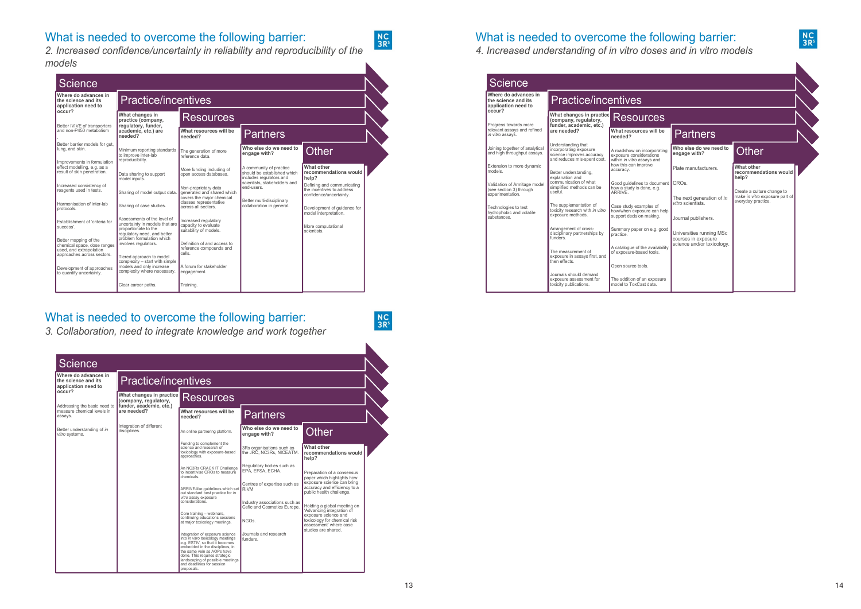

### What is needed to overcome the following barrier:

*2. Increased confidence/uncertainty in reliability and reproducibility of the models*



### What is needed to overcome the following barrier:

*3. Collaboration, need to integrate knowledge and work together*

| <b>Science</b>                                                           |                                                                                                          |                                                                                      |                                                 |                                                      |
|--------------------------------------------------------------------------|----------------------------------------------------------------------------------------------------------|--------------------------------------------------------------------------------------|-------------------------------------------------|------------------------------------------------------|
| Where do advances in<br>the science and its<br>application need to       | <b>Practice/incentives</b>                                                                               |                                                                                      |                                                 |                                                      |
| occur?                                                                   | What changes in practice<br>(company, regulatory,                                                        | <b>Resources</b>                                                                     |                                                 |                                                      |
| Progress towards more<br>relevant assays and refined<br>in vitro assays. | funder, academic, etc.)<br>are needed?                                                                   | What resources will be<br>needed?                                                    | Partners                                        |                                                      |
| Joining together of analytical<br>and high throughput assays.            | Understanding that<br>incorporating exposure<br>science improves accuracy<br>and reduces mis-spent cost. | A roadshow on incorporating<br>exposure considerations<br>within in vitro assays and | Who else do we need to<br>engage with?          | <b>Other</b>                                         |
| Extension to more dynamic<br>models.                                     | Better understanding,<br>explanation and                                                                 | how this can improve<br>accuracy.                                                    | Plate manufacturers.                            | What other<br>recommendations would<br>help?         |
| Validation of Armitage model<br>(see section 3) through                  | communication of what<br>simplified methods can be<br>useful.                                            | Good quidelines to document<br>how a study is done, e.g.<br>ARRIVE.                  | CRO <sub>s</sub> .                              | Create a culture change to                           |
| experimentation.<br>Technologies to test<br>hydrophobic and volatile     | The supplementation of<br>toxicity research with in vitro                                                | Case study examples of<br>how/when exposure can help                                 | The next generation of in<br>vitro scientists.  | make in vitro exposure part of<br>everyday practice. |
| substances.                                                              | exposure methods.                                                                                        | support decision making.                                                             | Journal publishers.                             |                                                      |
|                                                                          | Arrangement of cross-<br>disciplinary partnerships by<br>funders.                                        | Summary paper on e.g. good<br>practice.                                              | Universities running MSc<br>courses in exposure |                                                      |
|                                                                          | The measurement of<br>exposure in assays first, and                                                      | A catalogue of the availability<br>of exposure-based tools.                          | science and/or toxicology.                      |                                                      |
| then effects.                                                            | Open source tools.                                                                                       |                                                                                      |                                                 |                                                      |
|                                                                          | Journals should demand<br>exposure assessment for<br>toxicity publications.                              | The addition of an exposure<br>model to ToxCast data.                                |                                                 |                                                      |

 $N<sub>S</sub>$ <br> $3R<sup>s</sup>$ 

 $N<sub>S</sub>$ <br> $3R<sup>s</sup>$ 



What is needed to overcome the following barrier:

*4. Increased understanding of in vitro doses and in vitro models*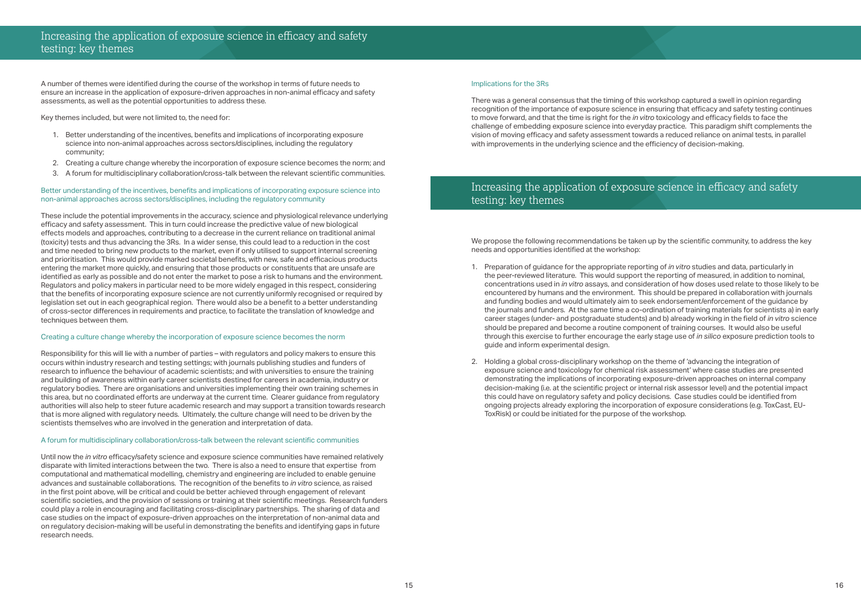### Increasing the application of exposure science in efficacy and safety testing: key themes

### Increasing the application of exposure science in efficacy and safety testing: key themes

A number of themes were identified during the course of the workshop in terms of future needs to ensure an increase in the application of exposure-driven approaches in non-animal efficacy and safety assessments, as well as the potential opportunities to address these.

Key themes included, but were not limited to, the need for:

- 1. Better understanding of the incentives, benefits and implications of incorporating exposure science into non-animal approaches across sectors/disciplines, including the regulatory community;
- 2. Creating a culture change whereby the incorporation of exposure science becomes the norm; and
- 3. A forum for multidisciplinary collaboration/cross-talk between the relevant scientific communities.

#### Better understanding of the incentives, benefits and implications of incorporating exposure science into non-animal approaches across sectors/disciplines, including the regulatory community

These include the potential improvements in the accuracy, science and physiological relevance underlying efficacy and safety assessment. This in turn could increase the predictive value of new biological effects models and approaches, contributing to a decrease in the current reliance on traditional animal (toxicity) tests and thus advancing the 3Rs. In a wider sense, this could lead to a reduction in the cost and time needed to bring new products to the market, even if only utilised to support internal screening and prioritisation. This would provide marked societal benefits, with new, safe and efficacious products entering the market more quickly, and ensuring that those products or constituents that are unsafe are identified as early as possible and do not enter the market to pose a risk to humans and the environment. Regulators and policy makers in particular need to be more widely engaged in this respect, considering that the benefits of incorporating exposure science are not currently uniformly recognised or required by legislation set out in each geographical region. There would also be a benefit to a better understanding of cross-sector differences in requirements and practice, to facilitate the translation of knowledge and techniques between them.

#### Creating a culture change whereby the incorporation of exposure science becomes the norm

We propose the following recommendations be taken up by the scientific community, to address the key needs and opportunities identified at the workshop:

Responsibility for this will lie with a number of parties – with regulators and policy makers to ensure this occurs within industry research and testing settings; with journals publishing studies and funders of research to influence the behaviour of academic scientists; and with universities to ensure the training and building of awareness within early career scientists destined for careers in academia, industry or regulatory bodies. There are organisations and universities implementing their own training schemes in this area, but no coordinated efforts are underway at the current time. Clearer guidance from regulatory authorities will also help to steer future academic research and may support a transition towards research that is more aligned with regulatory needs. Ultimately, the culture change will need to be driven by the scientists themselves who are involved in the generation and interpretation of data.

#### A forum for multidisciplinary collaboration/cross-talk between the relevant scientific communities

Until now the *in vitro* efficacy/safety science and exposure science communities have remained relatively disparate with limited interactions between the two. There is also a need to ensure that expertise from computational and mathematical modelling, chemistry and engineering are included to enable genuine advances and sustainable collaborations. The recognition of the benefits to *in vitro* science, as raised in the first point above, will be critical and could be better achieved through engagement of relevant scientific societies, and the provision of sessions or training at their scientific meetings. Research funders could play a role in encouraging and facilitating cross-disciplinary partnerships. The sharing of data and case studies on the impact of exposure-driven approaches on the interpretation of non-animal data and on regulatory decision-making will be useful in demonstrating the benefits and identifying gaps in future research needs.

#### Implications for the 3Rs

There was a general consensus that the timing of this workshop captured a swell in opinion regarding recognition of the importance of exposure science in ensuring that efficacy and safety testing continues to move forward, and that the time is right for the *in vitro* toxicology and efficacy fields to face the challenge of embedding exposure science into everyday practice. This paradigm shift complements the vision of moving efficacy and safety assessment towards a reduced reliance on animal tests, in parallel with improvements in the underlying science and the efficiency of decision-making.

concentrations used in *in vitro* assays, and consideration of how doses used relate to those likely to be the journals and funders. At the same time a co-ordination of training materials for scientists a) in early

- 1. Preparation of guidance for the appropriate reporting of *in vitro* studies and data, particularly in the peer-reviewed literature. This would support the reporting of measured, in addition to nominal, encountered by humans and the environment. This should be prepared in collaboration with journals and funding bodies and would ultimately aim to seek endorsement/enforcement of the guidance by career stages (under- and postgraduate students) and b) already working in the field of *in vitro* science should be prepared and become a routine component of training courses. It would also be useful through this exercise to further encourage the early stage use of *in silico* exposure prediction tools to guide and inform experimental design.
- 2. Holding a global cross-disciplinary workshop on the theme of 'advancing the integration of exposure science and toxicology for chemical risk assessment' where case studies are presented demonstrating the implications of incorporating exposure-driven approaches on internal company decision-making (i.e. at the scientific project or internal risk assessor level) and the potential impact this could have on regulatory safety and policy decisions. Case studies could be identified from ongoing projects already exploring the incorporation of exposure considerations (e.g. ToxCast, EU-ToxRisk) or could be initiated for the purpose of the workshop.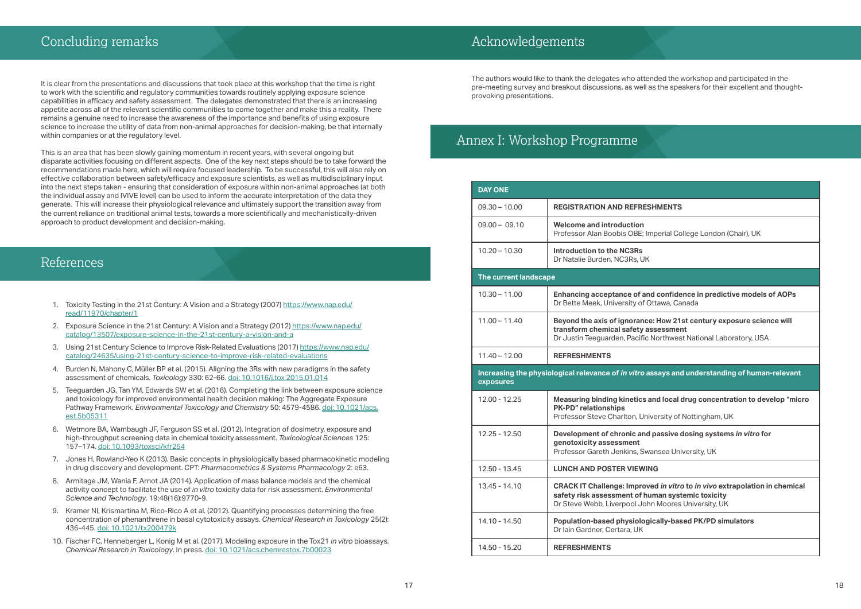### References

## Acknowledgements

It is clear from the presentations and discussions that took place at this workshop that the time is right to work with the scientific and regulatory communities towards routinely applying exposure science capabilities in efficacy and safety assessment. The delegates demonstrated that there is an increasing appetite across all of the relevant scientific communities to come together and make this a reality. There remains a genuine need to increase the awareness of the importance and benefits of using exposure science to increase the utility of data from non-animal approaches for decision-making, be that internally within companies or at the regulatory level.

This is an area that has been slowly gaining momentum in recent years, with several ongoing but disparate activities focusing on different aspects. One of the key next steps should be to take forward the recommendations made here, which will require focused leadership. To be successful, this will also rely on effective collaboration between safety/efficacy and exposure scientists, as well as multidisciplinary input into the next steps taken - ensuring that consideration of exposure within non-animal approaches (at both the individual assay and IVIVE level) can be used to inform the accurate interpretation of the data they generate. This will increase their physiological relevance and ultimately support the transition away from the current reliance on traditional animal tests, towards a more scientifically and mechanistically-driven approach to product development and decision-making.

> 13.45 - 14.10 **CRACK IT Challenge: Improved** *in vitro* **to** *in vivo* **extrapolation in chemical safety risk assessment of human systemic toxicity** hn Moores University, UK

- 1. Toxicity Testing in the 21st Century: A Vision and a Strategy (2007) [https://www.nap.edu/](https://www.nap.edu/read/11970/chapter/1) [read/11970/chapter](https://www.nap.edu/read/11970/chapter/1)/1
- 2. Exposure Science in the 21st Century: A Vision and a Strategy (2012) [https://www.nap.edu/](https://www.nap.edu/catalog/13507/exposure-science-in-the-21st-century-a-vision-and-a) [catalog/13507/exposure](https://www.nap.edu/catalog/13507/exposure-science-in-the-21st-century-a-vision-and-a)-science-in-the-21st-century-a-vision-and-a
- 3. Using 21st Century Science to Improve Risk-Related Evaluations (2017) [https://www.nap.edu/](https://www.nap.edu/catalog/24635/using-21st-century-science-to-improve-risk-related-evaluations) [catalog/24635/using-21st-century-science-to-improve-risk-related-evaluations](https://www.nap.edu/catalog/24635/using-21st-century-science-to-improve-risk-related-evaluations)
- 4. Burden N, Mahony C, Müller BP et al. (2015). Aligning the 3Rs with new paradigms in the safety assessment of chemicals. *Toxicology* 330: 62-66. [doi: 10.1016/j.tox.2015.01.014](http://dx.doi.org/10.1016/j.tox.2015.01.014)
- 5. Teeguarden JG, Tan YM, Edwards SW et al. (2016). Completing the link between exposure science and toxicology for improved environmental health decision making: The Aggregate Exposure Pathway Framework. *Environmental Toxicology and Chemistry* 50: 4579-4586. [doi: 10.1021/acs.](http://pubs.acs.org/doi/abs/10.1021/acs.est.5b05311) [est.5b05311](http://pubs.acs.org/doi/abs/10.1021/acs.est.5b05311)
- 6. Wetmore BA, Wambaugh JF, Ferguson SS et al. (2012). Integration of dosimetry, exposure and high-throughput screening data in chemical toxicity assessment. *Toxicological Sciences* 125: 157–174. [doi: 10.1093/toxsci/kfr254](https://dx.doi.org/10.1093/toxsci/kfr254)
- 7. Jones H, Rowland-Yeo K (2013). Basic concepts in physiologically based pharmacokinetic modeling in drug discovery and development. CPT: *Pharmacometrics & Systems Pharmacology* 2: e63.
- 8. Armitage JM, Wania F, Arnot JA (2014). Application of mass balance models and the chemical activity concept to facilitate the use of *in vitro* toxicity data for risk assessment. *Environmental Science and Technology*. 19;48(16):9770-9.
- 9. Kramer NI, Krismartina M, Rico-Rico A et al. (2012). Quantifying processes determining the free concentration of phenanthrene in basal cytotoxicity assays. *Chemical Research in Toxicology* 25(2): 436-445. [doi: 10.1021/tx200479k](https://doi.org/10.1021/tx200479k)
- 10. Fischer FC, Henneberger L, Konig M et al. (2017). Modeling exposure in the Tox21 *in vitro* bioassays. *Chemical Research in Toxicology*. In press. [doi: 10.1021/acs.chemrestox.7b00023](https://doi.org/10.1021/acs.chemrestox.7b00023)

The authors would like to thank the delegates who attended the workshop and participated in the pre-meeting survey and breakout discussions, as well as the speakers for their excellent and thoughtprovoking presentations.

## Annex I: Workshop Programme

| <b>DAY ONE</b>               |                                                                                                         |
|------------------------------|---------------------------------------------------------------------------------------------------------|
| $09.30 - 10.00$              | <b>REGISTRATION AND REFRESH</b>                                                                         |
| $09.00 - 09.10$              | <b>Welcome and introduction</b><br>Professor Alan Boobis OBE; Imp                                       |
| $10.20 - 10.30$              | Introduction to the NC3Rs<br>Dr Natalie Burden, NC3Rs, UK                                               |
| <b>The current landscape</b> |                                                                                                         |
| $10.30 - 11.00$              | Enhancing acceptance of and<br>Dr Bette Meek, University of Otta                                        |
| $11.00 - 11.40$              | Beyond the axis of ignorance: I<br>transform chemical safety ass<br>Dr Justin Teeguarden, Pacific No    |
| $11.40 - 12.00$              | <b>REFRESHMENTS</b>                                                                                     |
|                              |                                                                                                         |
| exposures                    | Increasing the physiological relevance of in vitro ass                                                  |
| 12.00 - 12.25                | <b>Measuring binding kinetics and</b><br><b>PK-PD"</b> relationships<br>Professor Steve Charlton, Unive |
| 12.25 - 12.50                | Development of chronic and pa<br>genotoxicity assessment<br>Professor Gareth Jenkins, Swan              |
| 12.50 - 13.45                | <b>LUNCH AND POSTER VIEWING</b>                                                                         |
| 13.45 - 14.10                | <b>CRACK IT Challenge: Improved</b><br>safety risk assessment of hum<br>Dr Steve Webb, Liverpool John I |
| 14.10 - 14.50                | Population-based physiologica<br>Dr Iain Gardner, Certara, UK                                           |

### **SHMENTS**

mperial College London (Chair), UK

**10.30 – 10.00 Feahrance in predictive models of AOPs** Ottawa, Canada

**12.00 – 11.00 Peys of the State Science will transform chemical safety assessment Branges Institute Dreptus**: Northwest National Laboratory, USA

### **Increase Sepannis is an absorpt** in assays and understanding of human-relevant

and local drug concentration to develop "micro

iversity of Nottingham, UK

12.25 - 12.50 **Development of chronic and passive dosing systems** *in vitro* **for** 

vansea University, UK

14.10 - 14.50 **Population-based physiologically-based PK/PD simulators**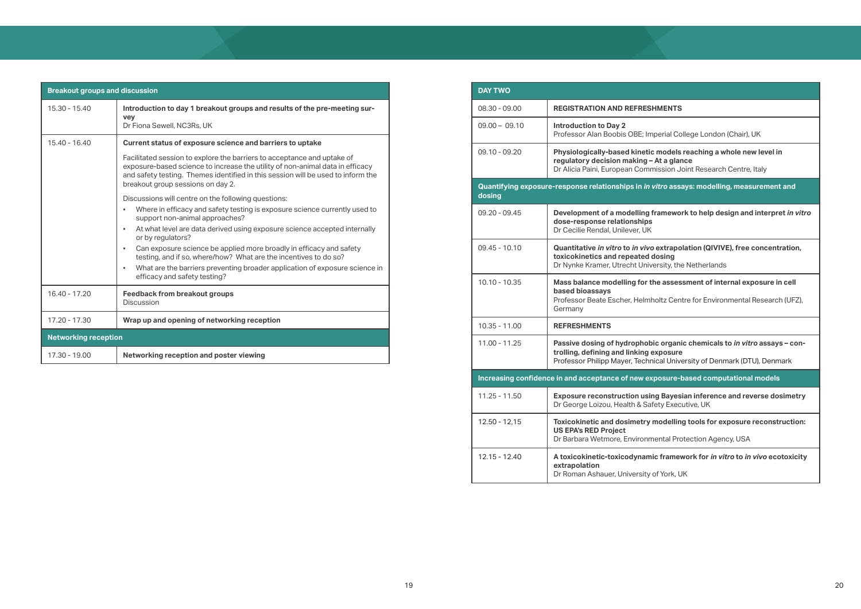| <b>Breakout groups and discussion</b> |                                                                                                                                                                                                                                                                                   |  |
|---------------------------------------|-----------------------------------------------------------------------------------------------------------------------------------------------------------------------------------------------------------------------------------------------------------------------------------|--|
| $15.30 - 15.40$                       | Introduction to day 1 breakout groups and results of the pre-meeting sur-<br><b>vey</b><br>Dr Fiona Sewell, NC3Rs, UK                                                                                                                                                             |  |
| $15.40 - 16.40$                       | Current status of exposure science and barriers to uptake                                                                                                                                                                                                                         |  |
|                                       | Facilitated session to explore the barriers to acceptance and uptake of<br>exposure-based science to increase the utility of non-animal data in efficacy<br>and safety testing. Themes identified in this session will be used to inform the<br>breakout group sessions on day 2. |  |
|                                       | Discussions will centre on the following questions:                                                                                                                                                                                                                               |  |
|                                       | Where in efficacy and safety testing is exposure science currently used to<br>support non-animal approaches?                                                                                                                                                                      |  |
|                                       | At what level are data derived using exposure science accepted internally<br>or by regulators?                                                                                                                                                                                    |  |
|                                       | Can exposure science be applied more broadly in efficacy and safety<br>٠<br>testing, and if so, where/how? What are the incentives to do so?                                                                                                                                      |  |
|                                       | What are the barriers preventing broader application of exposure science in<br>efficacy and safety testing?                                                                                                                                                                       |  |
| 16.40 - 17.20                         | <b>Feedback from breakout groups</b><br><b>Discussion</b>                                                                                                                                                                                                                         |  |
| 17.20 - 17.30                         | Wrap up and opening of networking reception                                                                                                                                                                                                                                       |  |
| <b>Networking reception</b>           |                                                                                                                                                                                                                                                                                   |  |
| 17.30 - 19.00                         | Networking reception and poster viewing                                                                                                                                                                                                                                           |  |

09.10 - 09.20 **Physiologically-based kinetic models reaching a whole new level in - At a glance** mission Joint Research Centre, Italy

**vitro assays: modelling, measurement and** 

framework to help design and interpret *in vitro* 

09.45 - 10.10 **Quantitative** *in vitro* **to** *in vivo* **extrapolation (QIVIVE), free concentration,**  dosing versity, the Netherlands

the assessment of internal exposure in cell

holtz Centre for Environmental Research (UFZ),

bic organic chemicals to *in vitro* assays – con**exposure** 

nical University of Denmark (DTU), Denmark

11.25 - 11.50 **Exposure reconstruction using Bayesian inference and reverse dosimetry** afety Executive, UK

**modelling tools for exposure reconstruction:** 

mental Protection Agency, USA

| <b>DAY TWO</b>  |                                                                                                             |
|-----------------|-------------------------------------------------------------------------------------------------------------|
| 08.30 - 09.00   | <b>REGISTRATION AND REFRES</b>                                                                              |
| $09.00 - 09.10$ | <b>Introduction to Day 2</b><br>Professor Alan Boobis OBE; In                                               |
| $09.10 - 09.20$ | <b>Physiologically-based kinetionally</b><br>regulatory decision making -<br>Dr Alicia Paini, European Comr |
| dosing          | Quantifying exposure-response relationships in in                                                           |
| $09.20 - 09.45$ | <b>Development of a modelling</b><br>dose-response relationships<br>Dr Cecilie Rendal, Unilever, UK         |
| $09.45 - 10.10$ | Quantitative in vitro to in vivo<br>toxicokinetics and repeated<br>Dr Nynke Kramer, Utrecht Univ            |
| 10.10 - 10.35   | Mass balance modelling for t<br>based bioassays<br>Professor Beate Escher, Helml<br>Germany                 |
| 10.35 - 11.00   | <b>REFRESHMENTS</b>                                                                                         |
| 11.00 - 11.25   | Passive dosing of hydrophob<br>trolling, defining and linking<br>Professor Philipp Mayer, Techr             |
|                 | Increasing confidence in and acceptance of new ex                                                           |
| $11.25 - 11.50$ | <b>Exposure reconstruction usir</b><br>Dr George Loizou, Health & Sa                                        |
| 12.50 - 12,15   | <b>Toxicokinetic and dosimetry</b><br><b>US EPA's RED Project</b><br>Dr Barbara Wetmore, Environn           |
| $12.15 - 12.40$ | A toxicokinetic-toxicodynam<br>extrapolation<br>Dr Roman Ashauer, University                                |

### **SHMENTS**

nperial College London (Chair), UK

**Increasing confidence in and acceptance of new exposure-based computational models**

12.15 - 12.40 **A toxicokinetic-toxicodynamic framework for** *in vitro* **to** *in vivo* **ecotoxicity** 

of York, UK